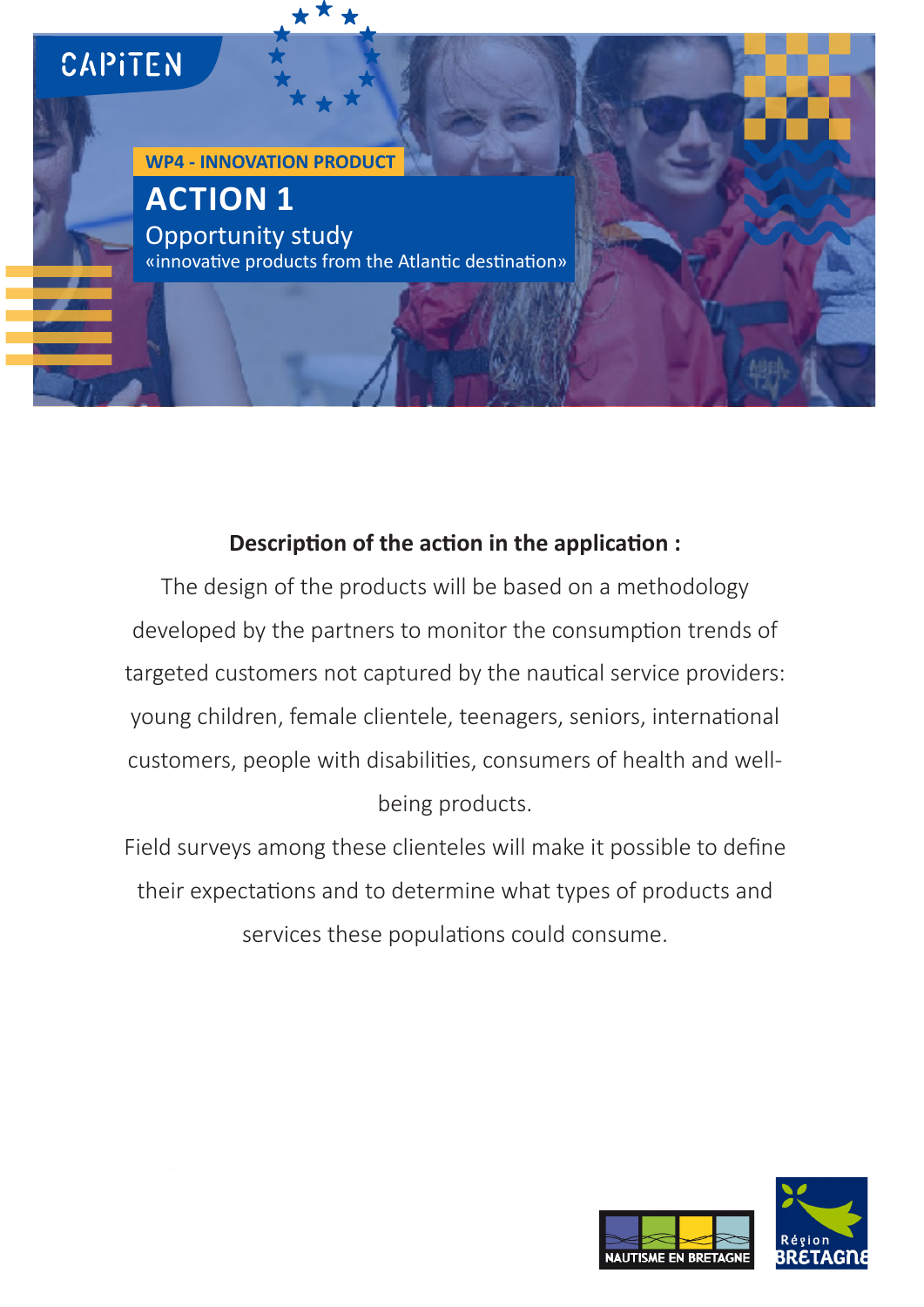

# **Description of the action in the application :**

The design of the products will be based on a methodology developed by the partners to monitor the consumption trends of targeted customers not captured by the nautical service providers: young children, female clientele, teenagers, seniors, international customers, people with disabilities, consumers of health and wellbeing products.

Field surveys among these clienteles will make it possible to define their expectations and to determine what types of products and services these populations could consume.